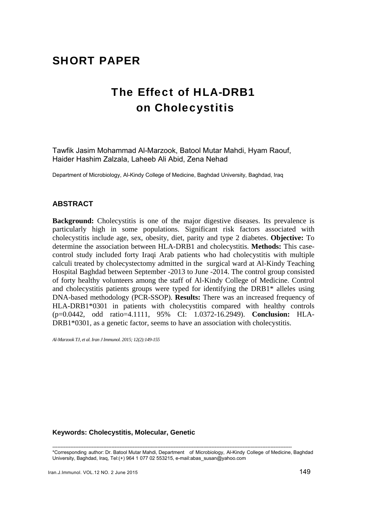# SHORT PAPER

# The Effect of HLA-DRB1 on Cholecystitis

Tawfik Jasim Mohammad Al-Marzook, Batool Mutar Mahdi, Hyam Raouf, Haider Hashim Zalzala, Laheeb Ali Abid, Zena Nehad

Department of Microbiology, Al-Kindy College of Medicine, Baghdad University, Baghdad, Iraq

## **ABSTRACT**

**Background:** Cholecystitis is one of the major digestive diseases. Its prevalence is particularly high in some populations. Significant risk factors associated with cholecystitis include age, sex, obesity, diet, parity and type 2 diabetes. **Objective:** To determine the association between HLA-DRB1 and cholecystitis. **Methods:** This casecontrol study included forty Iraqi Arab patients who had cholecystitis with multiple calculi treated by cholecystectomy admitted in the surgical ward at Al-Kindy Teaching Hospital Baghdad between September -2013 to June -2014. The control group consisted of forty healthy volunteers among the staff of Al-Kindy College of Medicine. Control and cholecystitis patients groups were typed for identifying the DRB1\* alleles using DNA-based methodology (PCR-SSOP). **Results:** There was an increased frequency of HLA-DRB1\*0301 in patients with cholecystitis compared with healthy controls (p=0.0442, odd ratio=4.1111, 95% CI: 1.0372-16.2949). **Conclusion:** HLA-DRB1\*0301, as a genetic factor, seems to have an association with cholecystitis.

*Al-Marzook TJ, et al. Iran J Immunol. 2015; 12(2):149-155*

### **Keywords: Cholecystitis, Molecular, Genetic**

-------------------------------------------------------------------------------------------------------------------------------------------------- \*Corresponding author: Dr. Batool Mutar Mahdi, Department of Microbiology, Al-Kindy College of Medicine, Baghdad University, Baghdad, Iraq, Tel:(+) 964 1 077 02 553215, e-mail:abas\_susan@yahoo.com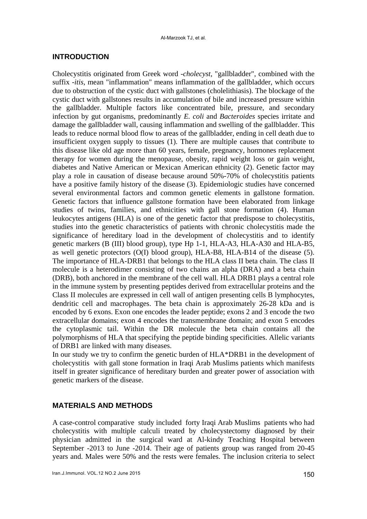### **INTRODUCTION**

Cholecystitis originated from Greek word -*cholecyst*, "gallbladder", combined with the suffix *-itis*, mean "inflammation" means inflammation of the gallbladder, which occurs due to obstruction of the cystic duct with gallstones (cholelithiasis). The blockage of the cystic duct with gallstones results in accumulation of bile and increased pressure within the gallbladder. Multiple factors like concentrated bile, pressure, and secondary infection by gut organisms, predominantly *E. coli* and *Bacteroides* species irritate and damage the gallbladder wall, causing inflammation and swelling of the gallbladder. This leads to reduce normal blood flow to areas of the gallbladder, ending in cell death due to insufficient oxygen supply to tissues (1). There are multiple causes that contribute to this disease like old age more than 60 years, female, pregnancy, hormones replacement therapy for women during the menopause, obesity, rapid weight loss or gain weight, diabetes and Native American or Mexican American ethnicity (2). Genetic factor may play a role in causation of disease because around 50%-70% of cholecystitis patients have a positive family history of the disease (3). Epidemiologic studies have concerned several environmental factors and common genetic elements in gallstone formation. Genetic factors that influence gallstone formation have been elaborated from linkage studies of twins, families, and ethnicities with gall stone formation (4). Human leukocytes antigens (HLA) is one of the genetic factor that predispose to cholecystitis, studies into the genetic characteristics of patients with chronic cholecystitis made the significance of hereditary load in the development of cholecystitis and to identify genetic markers (B (III) blood group), type Hp 1-1, HLA-A3, HLA-A30 and HLA-B5, as well genetic protectors (O(I) blood group), HLA-B8, HLA-B14 of the disease (5). The importance of HLA-DRB1 that belongs to the HLA class II beta chain. The class II molecule is a heterodimer consisting of two chains an alpha (DRA) and a beta chain (DRB), both anchored in the membrane of the cell wall. HLA DRB1 plays a central role in the immune system by presenting peptides derived from extracellular proteins and the Class II molecules are expressed in cell wall of antigen presenting cells B lymphocytes, dendritic cell and macrophages. The beta chain is approximately 26-28 kDa and is encoded by 6 exons. Exon one encodes the leader peptide; exons 2 and 3 encode the two extracellular domains; exon 4 encodes the transmembrane domain; and exon 5 encodes the cytoplasmic tail. Within the DR molecule the beta chain contains all the polymorphisms of HLA that specifying the peptide binding specificities. Allelic variants of DRB1 are linked with many diseases.

In our study we try to confirm the genetic burden of HLA\*DRB1 in the development of cholecystitis with gall stone formation in Iraqi Arab Muslims patients which manifests itself in greater significance of hereditary burden and greater power of association with genetic markers of the disease.

## **MATERIALS AND METHODS**

A case-control comparative study included forty Iraqi Arab Muslims patients who had cholecystitis with multiple calculi treated by cholecystectomy diagnosed by their physician admitted in the surgical ward at Al-kindy Teaching Hospital between September -2013 to June -2014. Their age of patients group was ranged from 20-45 years and. Males were 50% and the rests were females. The inclusion criteria to select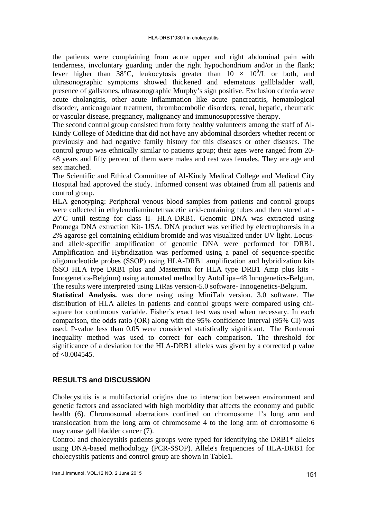the patients were complaining from acute upper and right abdominal pain with tenderness, involuntary guarding under the right hypochondrium and/or in the flank; fever higher than 38°C, leukocytosis greater than  $10 \times 10^9$ /L or both, and ultrasonographic symptoms showed thickened and edematous gallbladder wall, presence of gallstones, ultrasonographic Murphy's sign positive. Exclusion criteria were acute cholangitis, other acute inflammation like acute pancreatitis, hematological disorder, anticoagulant treatment, thromboembolic disorders, renal, hepatic, rheumatic or vascular disease, pregnancy, malignancy and immunosuppressive therapy.

The second control group consisted from forty healthy volunteers among the staff of Al-Kindy College of Medicine that did not have any abdominal disorders whether recent or previously and had negative family history for this diseases or other diseases. The control group was ethnically similar to patients group; their ages were ranged from 20- 48 years and fifty percent of them were males and rest was females. They are age and sex matched.

The Scientific and Ethical Committee of Al-Kindy Medical College and Medical City Hospital had approved the study. Informed consent was obtained from all patients and control group.

HLA genotyping: Peripheral venous blood samples from patients and control groups were collected in ethylenediaminetetraacetic acid-containing tubes and then stored at - 20°C until testing for class II- HLA-DRB1. Genomic DNA was extracted using Promega DNA extraction Kit- USA. DNA product was verified by electrophoresis in a 2% agarose gel containing ethidium bromide and was visualized under UV light. Locusand allele-specific amplification of genomic DNA were performed for DRB1. Amplification and Hybridization was performed using a panel of sequence-specific oligonucleotide probes (SSOP) using HLA-DRB1 amplification and hybridization kits (SSO HLA type DRB1 plus and Mastermix for HLA type DRB1 Amp plus kits - Innogenetics-Belgium) using automated method by AutoLipa–48 Innogenetics-Belgum. The results were interpreted using LiRas version-5.0 software- Innogenetics-Belgium.

**Statistical Analysis.** was done using using MiniTab version. 3.0 software. The distribution of HLA alleles in patients and control groups were compared using chisquare for continuous variable. Fisher's exact test was used when necessary. In each comparison, the odds ratio (OR) along with the 95% confidence interval (95% CI) was used. P-value less than 0.05 were considered statistically significant. The Bonferoni inequality method was used to correct for each comparison. The threshold for significance of a deviation for the HLA-DRB1 alleles was given by a corrected p value of  $< 0.004545$ .

## **RESULTS and DISCUSSION**

Cholecystitis is a multifactorial origins due to interaction between environment and genetic factors and associated with high morbidity that affects the economy and public health (6). Chromosomal aberrations confined on chromosome 1's long arm and translocation from the long arm of chromosome 4 to the long arm of chromosome 6 may cause gall bladder cancer (7).

Control and cholecystitis patients groups were typed for identifying the DRB1\* alleles using DNA-based methodology (PCR-SSOP). Allele's frequencies of HLA-DRB1 for cholecystitis patients and control group are shown in Table1.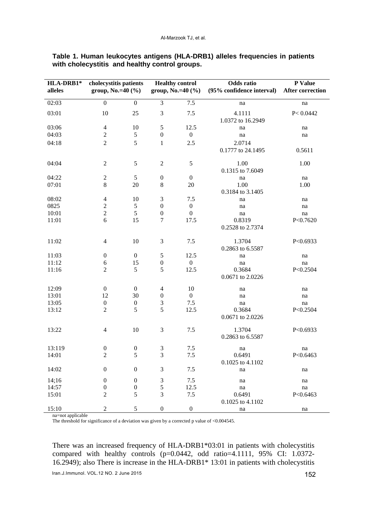| HLA-DRB1*<br>alleles | cholecystitis patients<br>group, No.=40 $(\% )$ |                  |                             | <b>Healthy control</b><br>group, No.= $40$ (%) | Odds ratio<br>(95% confidence interval) | P Value<br>After correction |
|----------------------|-------------------------------------------------|------------------|-----------------------------|------------------------------------------------|-----------------------------------------|-----------------------------|
| 02:03                | $\boldsymbol{0}$                                | $\boldsymbol{0}$ | 3                           | $7.5$                                          | na                                      | na                          |
| 03:01                | 10                                              | 25               | 3                           | 7.5                                            | 4.1111<br>1.0372 to 16.2949             | P < 0.0442                  |
| 03:06                | $\overline{4}$                                  | 10               | 5                           | 12.5                                           | na                                      | na                          |
| 04:03                | $\sqrt{2}$                                      | $\sqrt{5}$       | $\boldsymbol{0}$            | $\boldsymbol{0}$                               | na                                      | na                          |
| 04:18                | $\overline{2}$                                  | 5                | $\mathbf{1}$                | 2.5                                            | 2.0714                                  |                             |
|                      |                                                 |                  |                             |                                                | 0.1777 to 24.1495                       | 0.5611                      |
| 04:04                | $\overline{2}$                                  | $\sqrt{5}$       | $\sqrt{2}$                  | $\sqrt{5}$                                     | 1.00<br>0.1315 to 7.6049                | 1.00                        |
| 04:22                | $\overline{2}$                                  | 5                | $\boldsymbol{0}$            | $\boldsymbol{0}$                               | na                                      | na                          |
| 07:01                | 8                                               | 20               | 8                           | 20                                             | 1.00                                    | 1.00                        |
|                      |                                                 |                  |                             |                                                | 0.3184 to 3.1405                        |                             |
| 08:02                | $\overline{4}$                                  | 10               | $\ensuremath{\mathfrak{Z}}$ | 7.5                                            | na                                      | na                          |
| 0825                 | $\overline{c}$                                  | $\sqrt{5}$       | $\boldsymbol{0}$            | $\boldsymbol{0}$                               | na                                      | na                          |
| 10:01                | $\overline{c}$                                  | 5                | $\boldsymbol{0}$            | $\boldsymbol{0}$                               | na                                      | na                          |
| 11:01                | 6                                               | 15               | 7                           | 17.5                                           | 0.8319<br>0.2528 to 2.7374              | P<0.7620                    |
| 11:02                | $\overline{4}$                                  | 10               | $\mathfrak{Z}$              | 7.5                                            | 1.3704<br>0.2863 to 6.5587              | P<0.6933                    |
| 11:03                | $\boldsymbol{0}$                                | $\boldsymbol{0}$ | $\mathfrak s$               | 12.5                                           | na                                      | na                          |
| 11:12                | 6                                               | 15               | $\boldsymbol{0}$            | $\boldsymbol{0}$                               | na                                      | na                          |
| 11:16                | $\overline{2}$                                  | 5                | 5                           | 12.5                                           | 0.3684<br>0.0671 to 2.0226              | P<0.2504                    |
| 12:09                | $\boldsymbol{0}$                                | $\boldsymbol{0}$ | $\overline{4}$              | 10                                             | na                                      | na                          |
| 13:01                | 12                                              | 30               | $\boldsymbol{0}$            | $\boldsymbol{0}$                               | na                                      | na                          |
| 13:05                | $\boldsymbol{0}$                                | $\boldsymbol{0}$ | $\ensuremath{\mathfrak{Z}}$ | 7.5                                            | na                                      | na                          |
| 13:12                | $\overline{2}$                                  | 5                | 5                           | 12.5                                           | 0.3684<br>0.0671 to 2.0226              | P<0.2504                    |
| 13:22                | $\overline{4}$                                  | 10               | $\mathfrak{Z}$              | 7.5                                            | 1.3704<br>0.2863 to 6.5587              | P<0.6933                    |
| 13:119               | $\boldsymbol{0}$                                | $\boldsymbol{0}$ | $\mathfrak{Z}$              | 7.5                                            | na                                      | na                          |
| 14:01                | $\overline{c}$                                  | 5                | 3                           | 7.5                                            | 0.6491                                  | P<0.6463                    |
|                      |                                                 |                  |                             |                                                | 0.1025 to 4.1102                        |                             |
| 14:02                | $\boldsymbol{0}$                                | $\boldsymbol{0}$ | $\mathfrak{Z}$              | $7.5\,$                                        | na                                      | na                          |
| 14;16                | $\boldsymbol{0}$                                | $\boldsymbol{0}$ | $\ensuremath{\mathfrak{Z}}$ | 7.5                                            | na                                      | na                          |
| 14:57                | $\boldsymbol{0}$                                | $\boldsymbol{0}$ | 5                           | 12.5                                           | $\operatorname{na}$                     | na                          |
| 15:01                | $\overline{c}$                                  | 5                | $\mathfrak{Z}$              | $7.5$                                          | 0.6491<br>0.1025 to 4.1102              | P<0.6463                    |
| 15:10                | $\overline{2}$                                  | 5                | $\boldsymbol{0}$            | $\boldsymbol{0}$                               | $\operatorname{na}$                     | na                          |

**Table 1. Human leukocytes antigens (HLA-DRB1) alleles frequencies in patients with cholecystitis and healthy control groups.** 

na=not applicable

The threshold for significance of a deviation was given by a corrected p value of  $<$  0.004545.

There was an increased frequency of HLA-DRB1\*03:01 in patients with cholecystitis compared with healthy controls (p=0.0442, odd ratio=4.1111, 95% CI: 1.0372- 16.2949); also There is increase in the HLA-DRB1\* 13:01 in patients with cholecystitis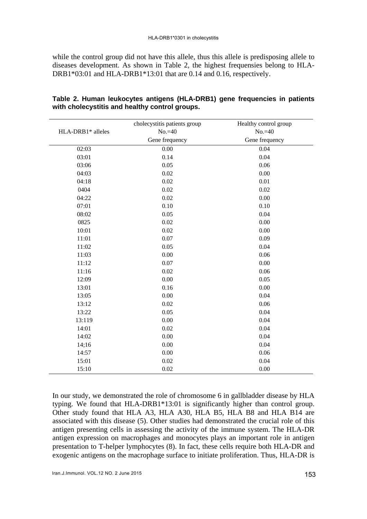while the control group did not have this allele, thus this allele is predisposing allele to diseases development. As shown in Table 2, the highest frequensies belong to HLA-DRB1\*03:01 and HLA-DRB1\*13:01 that are 0.14 and 0.16, respectively.

|                   | cholecystitis patients group | Healthy control group |  |
|-------------------|------------------------------|-----------------------|--|
| HLA-DRB1* alleles | $No.=40$                     | $No.=40$              |  |
|                   | Gene frequency               | Gene frequency        |  |
| 02:03             | 0.00                         | 0.04                  |  |
| 03:01             | 0.14                         | 0.04                  |  |
| 03:06             | 0.05                         | 0.06                  |  |
| 04:03             | 0.02                         | 0.00                  |  |
| 04:18             | 0.02                         | 0.01                  |  |
| 0404              | 0.02                         | 0.02                  |  |
| 04:22             | 0.02                         | 0.00                  |  |
| 07:01             | 0.10                         | 0.10                  |  |
| 08:02             | 0.05                         | 0.04                  |  |
| 0825              | 0.02                         | 0.00                  |  |
| 10:01             | 0.02                         | 0.00                  |  |
| 11:01             | 0.07                         | 0.09                  |  |
| 11:02             | 0.05                         | 0.04                  |  |
| 11:03             | 0.00                         | 0.06                  |  |
| 11:12             | 0.07                         | 0.00                  |  |
| 11:16             | 0.02                         | 0.06                  |  |
| 12:09             | 0.00                         | 0.05                  |  |
| 13:01             | 0.16                         | 0.00                  |  |
| 13:05             | 0.00                         | 0.04                  |  |
| 13:12             | 0.02                         | 0.06                  |  |
| 13:22             | 0.05                         | 0.04                  |  |
| 13:119            | 0.00                         | 0.04                  |  |
| 14:01             | 0.02                         | 0.04                  |  |
| 14:02             | 0.00                         | 0.04                  |  |
| 14;16             | 0.00                         | 0.04                  |  |
| 14:57             | 0.00                         | 0.06                  |  |
| 15:01             | 0.02                         | 0.04                  |  |
| 15:10             | 0.02                         | 0.00                  |  |

## **Table 2. Human leukocytes antigens (HLA-DRB1) gene frequencies in patients with cholecystitis and healthy control groups.**

In our study, we demonstrated the role of chromosome 6 in gallbladder disease by HLA typing. We found that HLA-DRB1\*13:01 is significantly higher than control group. Other study found that HLA A3, HLA A30, HLA B5, HLA B8 and HLA B14 are associated with this disease (5). Other studies had demonstrated the crucial role of this antigen presenting cells in assessing the activity of the immune system. The HLA-DR antigen expression on macrophages and monocytes plays an important role in antigen presentation to T-helper lymphocytes (8). In fact, these cells require both HLA-DR and exogenic antigens on the macrophage surface to initiate proliferation. Thus, HLA-DR is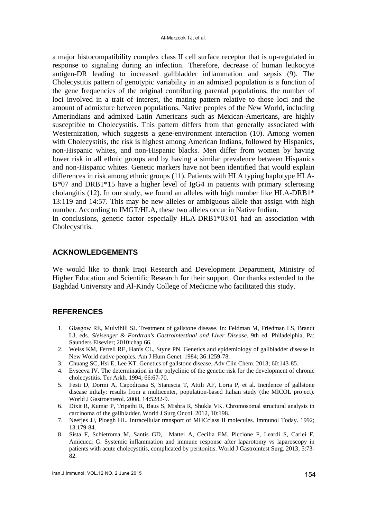a major histocompatibility complex class II cell surface receptor that is up-regulated in response to signaling during an infection. Therefore, decrease of human leukocyte antigen-DR leading to increased gallbladder inflammation and sepsis (9). The Cholecystitis pattern of genotypic variability in an admixed population is a function of the gene frequencies of the original contributing parental populations, the number of loci involved in a trait of interest, the mating pattern relative to those loci and the amount of admixture between populations. Native peoples of the New World, including Amerindians and admixed Latin Americans such as Mexican-Americans, are highly susceptible to Cholecystitis. This pattern differs from that generally associated with Westernization, which suggests a gene-environment interaction (10). Among women with Cholecystitis, the risk is highest among American Indians, followed by Hispanics, non-Hispanic whites, and non-Hispanic blacks. Men differ from women by having lower risk in all ethnic groups and by having a similar prevalence between Hispanics and non-Hispanic whites. Genetic markers have not been identified that would explain differences in risk among ethnic groups (11). Patients with HLA typing haplotype HLA-B\*07 and DRB1\*15 have a higher level of IgG4 in patients with primary sclerosing cholangitis (12). In our study, we found an alleles with high number like HLA-DRB1\* 13:119 and 14:57. This may be new alleles or ambiguous allele that assign with high number. According to IMGT/HLA, these two alleles occur in Native Indian.

In conclusions, genetic factor especially HLA-DRB1\*03:01 had an association with Cholecystitis.

## **ACKNOWLEDGEMENTS**

We would like to thank Iraqi Research and Development Department, Ministry of Higher Education and Scientific Research for their support. Our thanks extended to the Baghdad University and Al-Kindy College of Medicine who facilitated this study.

## **REFERENCES**

- 1. Glasgow RE, Mulvihill SJ. Treatment of gallstone disease. In: Feldman M, Friedman LS, Brandt LJ, eds. *Sleisenger & Fordtran's Gastrointestinal and Liver Disease*. 9th ed. Philadelphia, Pa: Saunders Elsevier; 2010:chap 66.
- 2. Weiss KM, Ferrell RE, Hanis CL, Styne PN. Genetics and epidemiology of gallbladder disease in New World native peoples. Am J Hum Genet. 1984; 36:1259-78.
- 3. Chuang SC, Hsi E, Lee KT. Genetics of gallstone disease. Adv Clin Chem. 2013; 60:143-85.
- 4. Evseeva IV. The determination in the polyclinic of the genetic risk for the development of chronic cholecystitis. Ter Arkh. 1994; 66:67-70.
- 5. Festi D, Dormi A, Capodicasa S, Staniscia T, Attili AF, Loria P, et al. Incidence of gallstone disease inItaly: results from a multicenter, population-based Italian study (the MICOL project). World J Gastroenterol. 2008, 14:5282-9.
- 6. Dixit R, Kumar P, Tripathi R, Baus S, Mishra R, Shukla VK. Chromosomal structural analysis in carcinoma of the gallbladder. World J Surg Oncol. 2012, 10:198.
- 7. Neefjes JJ, Ploegh HL. Intracellular transport of MHCclass II molecules. Immunol Today. 1992; 13:179-84.
- 8. Sista F, Schietroma M, Santis GD, Mattei A, Cecilia EM, Piccione F, Leardi S, Carlei F, Amicucci G. Systemic inflammation and immune response after laparotomy vs laparoscopy in patients with acute cholecystitis, complicated by peritonitis. World J Gastrointest Surg. 2013; 5:73- 82.